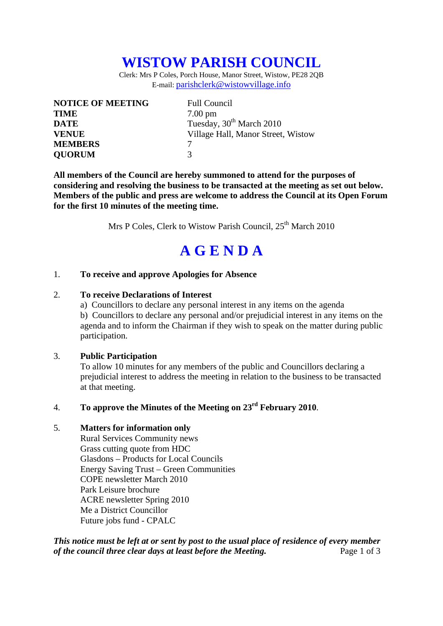# **WISTOW PARISH COUNCIL**

Clerk: Mrs P Coles, Porch House, Manor Street, Wistow, PE28 2QB E-mail: parishclerk@wistowvillage.info

| <b>NOTICE OF MEETING</b> | <b>Full Council</b>                  |
|--------------------------|--------------------------------------|
| <b>TIME</b>              | $7.00 \text{ pm}$                    |
| <b>DATE</b>              | Tuesday, 30 <sup>th</sup> March 2010 |
| <b>VENUE</b>             | Village Hall, Manor Street, Wistow   |
| <b>MEMBERS</b>           |                                      |
| <b>QUORUM</b>            | $\mathcal{R}$                        |

**All members of the Council are hereby summoned to attend for the purposes of considering and resolving the business to be transacted at the meeting as set out below. Members of the public and press are welcome to address the Council at its Open Forum for the first 10 minutes of the meeting time.** 

Mrs P Coles, Clerk to Wistow Parish Council,  $25<sup>th</sup>$  March 2010

# **A G E N D A**

#### 1. **To receive and approve Apologies for Absence**

#### 2. **To receive Declarations of Interest**

 a) Councillors to declare any personal interest in any items on the agenda b) Councillors to declare any personal and/or prejudicial interest in any items on the agenda and to inform the Chairman if they wish to speak on the matter during public participation.

#### 3. **Public Participation**

To allow 10 minutes for any members of the public and Councillors declaring a prejudicial interest to address the meeting in relation to the business to be transacted at that meeting.

### 4. **To approve the Minutes of the Meeting on 23rd February 2010**.

#### 5. **Matters for information only**

Rural Services Community news Grass cutting quote from HDC Glasdons – Products for Local Councils Energy Saving Trust – Green Communities COPE newsletter March 2010 Park Leisure brochure ACRE newsletter Spring 2010 Me a District Councillor Future jobs fund - CPALC

*This notice must be left at or sent by post to the usual place of residence of every member of the council three clear days at least before the Meeting.* Page 1 of 3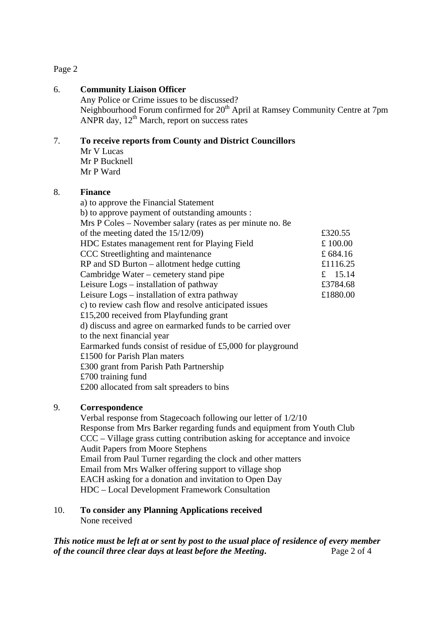#### Page 2

#### 6. **Community Liaison Officer**

Any Police or Crime issues to be discussed? Neighbourhood Forum confirmed for 20<sup>th</sup> April at Ramsey Community Centre at 7pm ANPR day,  $12^{th}$  March, report on success rates

#### 7. **To receive reports from County and District Councillors**

Mr V Lucas Mr P Bucknell Mr P Ward

#### 8. **Finance**

a) to approve the Financial Statement b) to approve payment of outstanding amounts : Mrs P Coles – November salary (rates as per minute no. 8e of the meeting dated the  $15/12/09$  £320.55 HDC Estates management rent for Playing Field  $\pounds 100.00$ CCC Streetlighting and maintenance £ 684.16  $RP$  and SD Burton – allotment hedge cutting  $£1116.25$ Cambridge Water – cemetery stand pipe  $\epsilon$  15.14 Leisure Logs – installation of pathway £3784.68 Leisure Logs – installation of extra pathway  $£1880.00$ c) to review cash flow and resolve anticipated issues £15,200 received from Playfunding grant d) discuss and agree on earmarked funds to be carried over to the next financial year Earmarked funds consist of residue of £5,000 for playground £1500 for Parish Plan maters £300 grant from Parish Path Partnership £700 training fund £200 allocated from salt spreaders to bins

#### 9. **Correspondence**

Verbal response from Stagecoach following our letter of 1/2/10 Response from Mrs Barker regarding funds and equipment from Youth Club CCC – Village grass cutting contribution asking for acceptance and invoice Audit Papers from Moore Stephens Email from Paul Turner regarding the clock and other matters Email from Mrs Walker offering support to village shop EACH asking for a donation and invitation to Open Day HDC – Local Development Framework Consultation

#### 10. **To consider any Planning Applications received**  None received

*This notice must be left at or sent by post to the usual place of residence of every member of the council three clear days at least before the Meeting***.** Page 2 of 4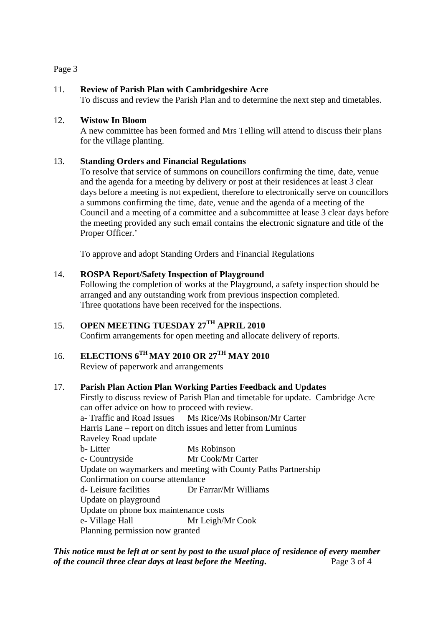#### Page 3

#### 11. **Review of Parish Plan with Cambridgeshire Acre**

To discuss and review the Parish Plan and to determine the next step and timetables.

#### 12. **Wistow In Bloom**

A new committee has been formed and Mrs Telling will attend to discuss their plans for the village planting.

#### 13. **Standing Orders and Financial Regulations**

To resolve that service of summons on councillors confirming the time, date, venue and the agenda for a meeting by delivery or post at their residences at least 3 clear days before a meeting is not expedient, therefore to electronically serve on councillors a summons confirming the time, date, venue and the agenda of a meeting of the Council and a meeting of a committee and a subcommittee at lease 3 clear days before the meeting provided any such email contains the electronic signature and title of the Proper Officer.'

To approve and adopt Standing Orders and Financial Regulations

#### 14. **ROSPA Report/Safety Inspection of Playground**

Following the completion of works at the Playground, a safety inspection should be arranged and any outstanding work from previous inspection completed. Three quotations have been received for the inspections.

## 15. **OPEN MEETING TUESDAY 27TH APRIL 2010**

Confirm arrangements for open meeting and allocate delivery of reports.

### 16. **ELECTIONS 6TH MAY 2010 OR 27TH MAY 2010**

Review of paperwork and arrangements

#### 17. **Parish Plan Action Plan Working Parties Feedback and Updates**

Firstly to discuss review of Parish Plan and timetable for update. Cambridge Acre can offer advice on how to proceed with review. a- Traffic and Road Issues Ms Rice/Ms Robinson/Mr Carter Harris Lane – report on ditch issues and letter from Luminus Raveley Road update b- Litter Ms Robinson c- Countryside Mr Cook/Mr Carter Update on waymarkers and meeting with County Paths Partnership Confirmation on course attendance d- Leisure facilities Dr Farrar/Mr Williams Update on playground Update on phone box maintenance costs e- Village Hall Mr Leigh/Mr Cook Planning permission now granted

*This notice must be left at or sent by post to the usual place of residence of every member of the council three clear days at least before the Meeting***.** Page 3 of 4